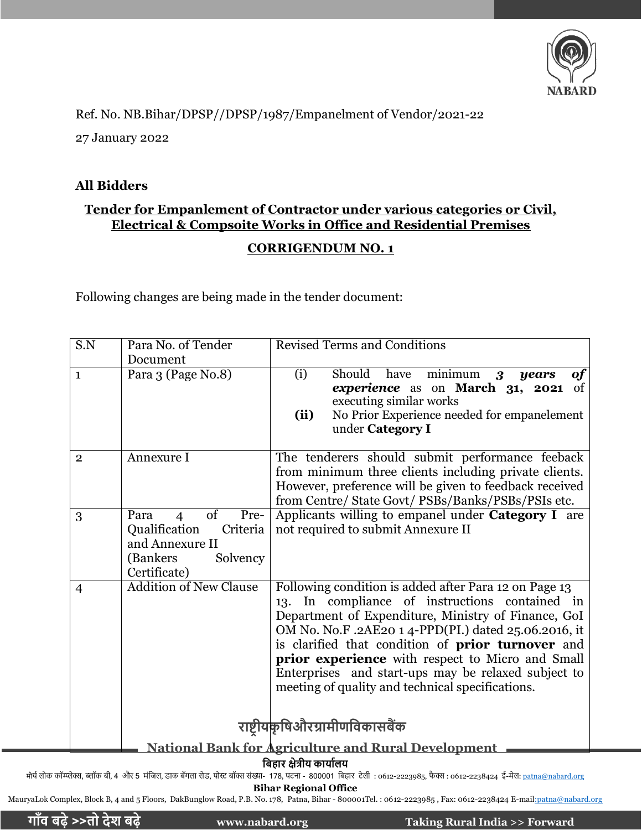

Ref. No. NB.Bihar/DPSP//DPSP/1987/Empanelment of Vendor/2021-22

27 January 2022

#### **All Bidders**

## **Tender for Empanlement of Contractor under various categories or Civil, Electrical & Compsoite Works in Office and Residential Premises**

## **CORRIGENDUM NO. 1**

Following changes are being made in the tender document:

| S.N            | Para No. of Tender                                                                                          | <b>Revised Terms and Conditions</b>                                                                                                                                                                                                                                                                                                                                                                                                               |  |  |
|----------------|-------------------------------------------------------------------------------------------------------------|---------------------------------------------------------------------------------------------------------------------------------------------------------------------------------------------------------------------------------------------------------------------------------------------------------------------------------------------------------------------------------------------------------------------------------------------------|--|--|
|                | Document                                                                                                    |                                                                                                                                                                                                                                                                                                                                                                                                                                                   |  |  |
| $\mathbf{1}$   | Para 3 (Page No.8)                                                                                          | $minimum \quad 3$<br>(i)<br>Should<br>have<br><b>of</b><br>years<br>experience as on March 31, 2021 of<br>executing similar works<br>No Prior Experience needed for empanelement<br>(ii)<br>under Category I                                                                                                                                                                                                                                      |  |  |
| $\overline{2}$ | Annexure I                                                                                                  | The tenderers should submit performance feeback<br>from minimum three clients including private clients.<br>However, preference will be given to feedback received<br>from Centre/ State Govt/ PSBs/Banks/PSBs/PSIs etc.                                                                                                                                                                                                                          |  |  |
| 3              | of<br>Pre-<br>Para<br>Qualification<br>Criteria<br>and Annexure II<br>(Bankers)<br>Solvency<br>Certificate) | Applicants willing to empanel under <b>Category I</b> are<br>not required to submit Annexure II                                                                                                                                                                                                                                                                                                                                                   |  |  |
| $\overline{4}$ | <b>Addition of New Clause</b>                                                                               | Following condition is added after Para 12 on Page 13<br>13. In compliance of instructions contained in<br>Department of Expenditure, Ministry of Finance, GoI<br>OM No. No.F. .2AE20 14-PPD(PI.) dated 25.06.2016, it<br>is clarified that condition of <b>prior turnover</b> and<br>prior experience with respect to Micro and Small<br>Enterprises and start-ups may be relaxed subject to<br>meeting of quality and technical specifications. |  |  |
|                |                                                                                                             | राष्ट्रीयकृषिऔरग्रामीणविकासबैंक                                                                                                                                                                                                                                                                                                                                                                                                                   |  |  |
|                |                                                                                                             | <b>National Bank for Agriculture and Rural Development</b>                                                                                                                                                                                                                                                                                                                                                                                        |  |  |
|                | बिहार श्रेत्रीय कार्यालय                                                                                    |                                                                                                                                                                                                                                                                                                                                                                                                                                                   |  |  |

**षबहार क्षेत्रीय कायाालय**

मौर्य लोक कॉम्प्लेक्स, ब्लॉक बी, 4 और 5 मंजिल, डाक बँगला रोड, पोस्ट बॉक्स संख्या- 178, पटना - 800001 बिहार टेली : 0612-223985, फैक्स : 0612-2238424 ई-मेल: <u>patna@nabard.or</u>g

**Bihar Regional Office**

MauryaLok Complex, Block B, 4 and 5 Floors, DakBunglow Road, P.B. No. 178, Patna, Bihar - 800001Tel.: 0612-2223985, Fax: 0612-2238424 E-mai[l:](mailto:nabpnj@sancharnet.in)[patna@nabard.org](mailto:patna@nabard.org)

**गााँि बढ़े >>तो देश बढ़े www.nabard.org Taking Rural India >> Forward**